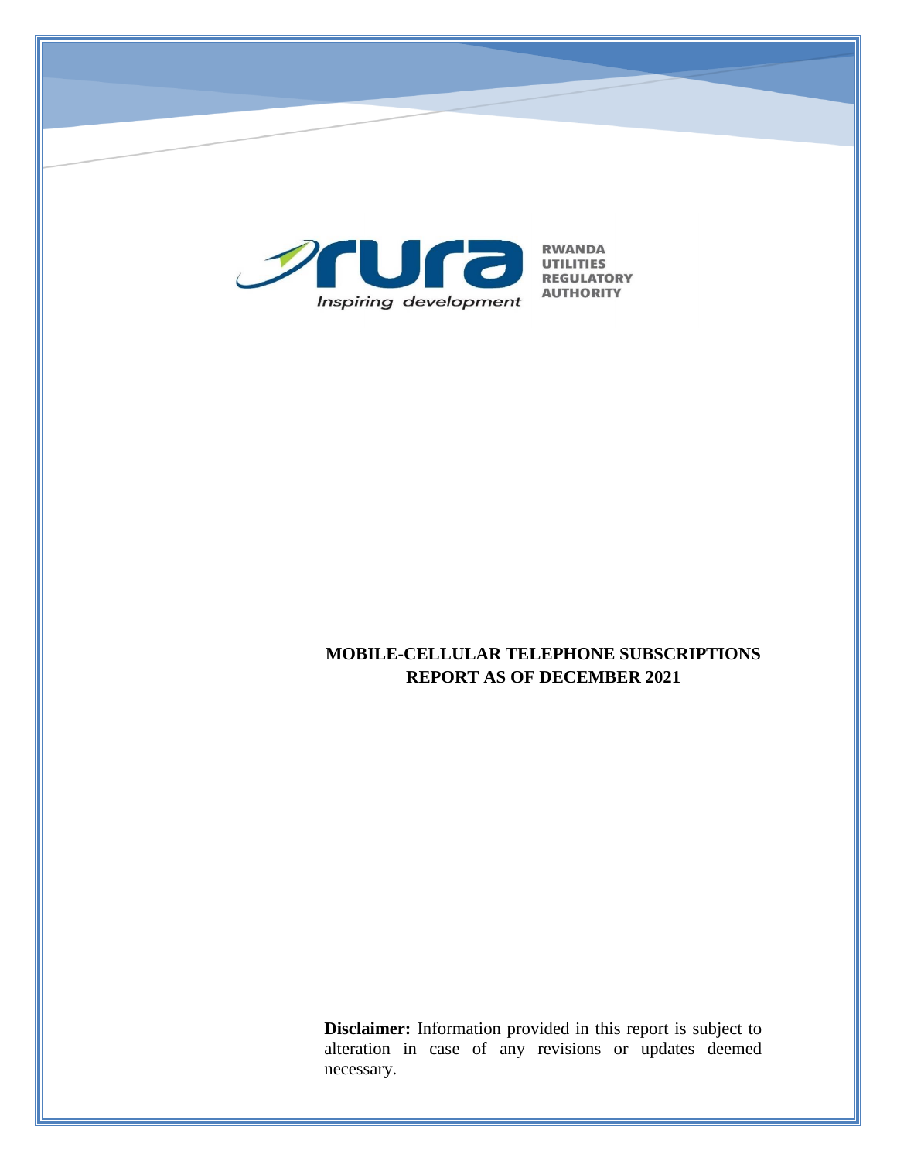

# **MOBILE-CELLULAR TELEPHONE SUBSCRIPTIONS REPORT AS OF DECEMBER 2021**

**Disclaimer:** Information provided in this report is subject to alteration in case of any revisions or updates deemed necessary.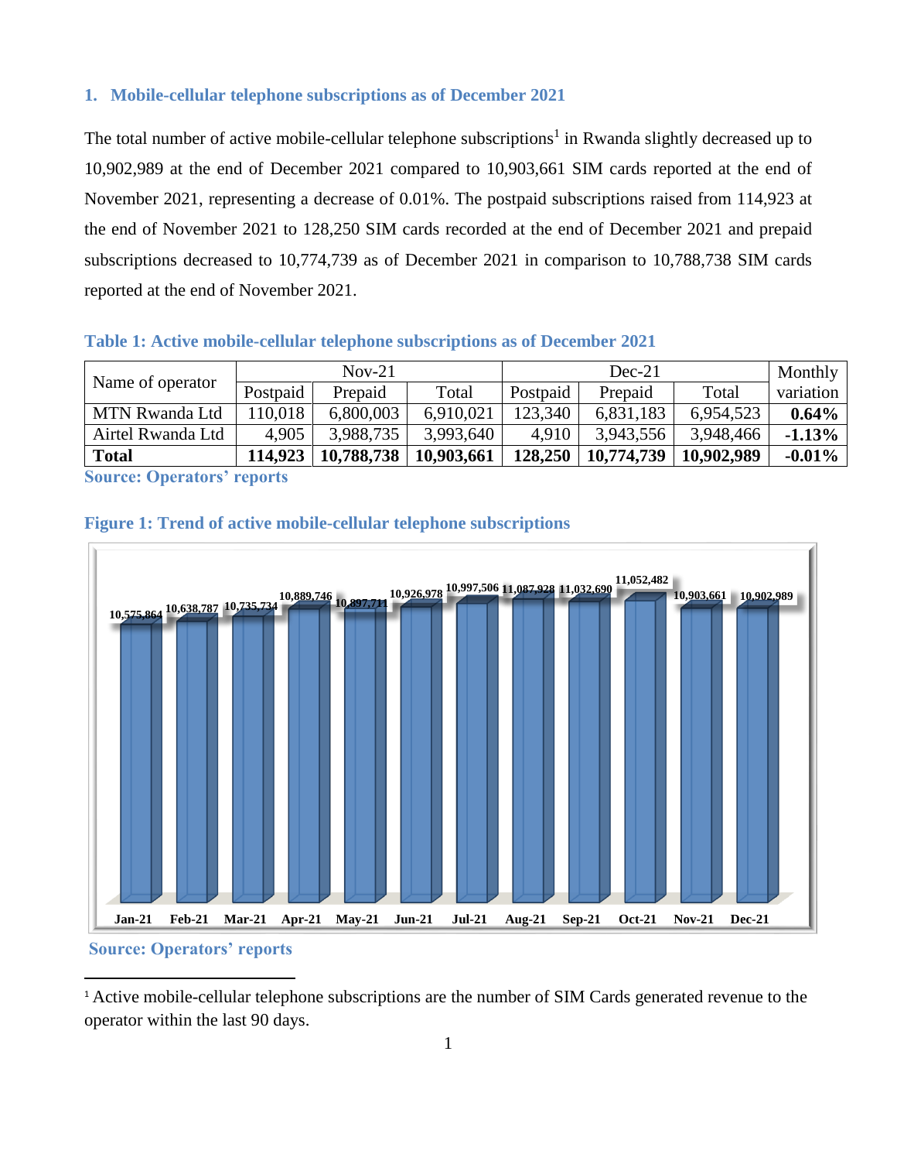#### **1. Mobile-cellular telephone subscriptions as of December 2021**

The total number of active mobile-cellular telephone subscriptions<sup>1</sup> in Rwanda slightly decreased up to 10,902,989 at the end of December 2021 compared to 10,903,661 SIM cards reported at the end of November 2021, representing a decrease of 0.01%. The postpaid subscriptions raised from 114,923 at the end of November 2021 to 128,250 SIM cards recorded at the end of December 2021 and prepaid subscriptions decreased to 10,774,739 as of December 2021 in comparison to 10,788,738 SIM cards reported at the end of November 2021.

#### **Table 1: Active mobile-cellular telephone subscriptions as of December 2021**

| $Nov-21$ |            | $Dec-21$   |          |            | Monthly    |           |
|----------|------------|------------|----------|------------|------------|-----------|
| Postpaid | Prepaid    | Total      | Postpaid | Prepaid    | Total      | variation |
| 10,018   | 6,800,003  | 6,910,021  | 123,340  | 6,831,183  | 6,954,523  | $0.64\%$  |
| 4,905    | 3.988.735  | 3,993,640  | 4,910    | 3,943,556  | 3,948,466  | $-1.13%$  |
| 114.923  | 10,788,738 | 10,903,661 | 128,250  | 10,774,739 | 10,902,989 | $-0.01\%$ |
|          |            |            |          |            |            |           |

**Source: Operators' reports**





### **Source: Operators' reports**

 $\overline{a}$ 

<sup>1</sup> Active mobile-cellular telephone subscriptions are the number of SIM Cards generated revenue to the operator within the last 90 days.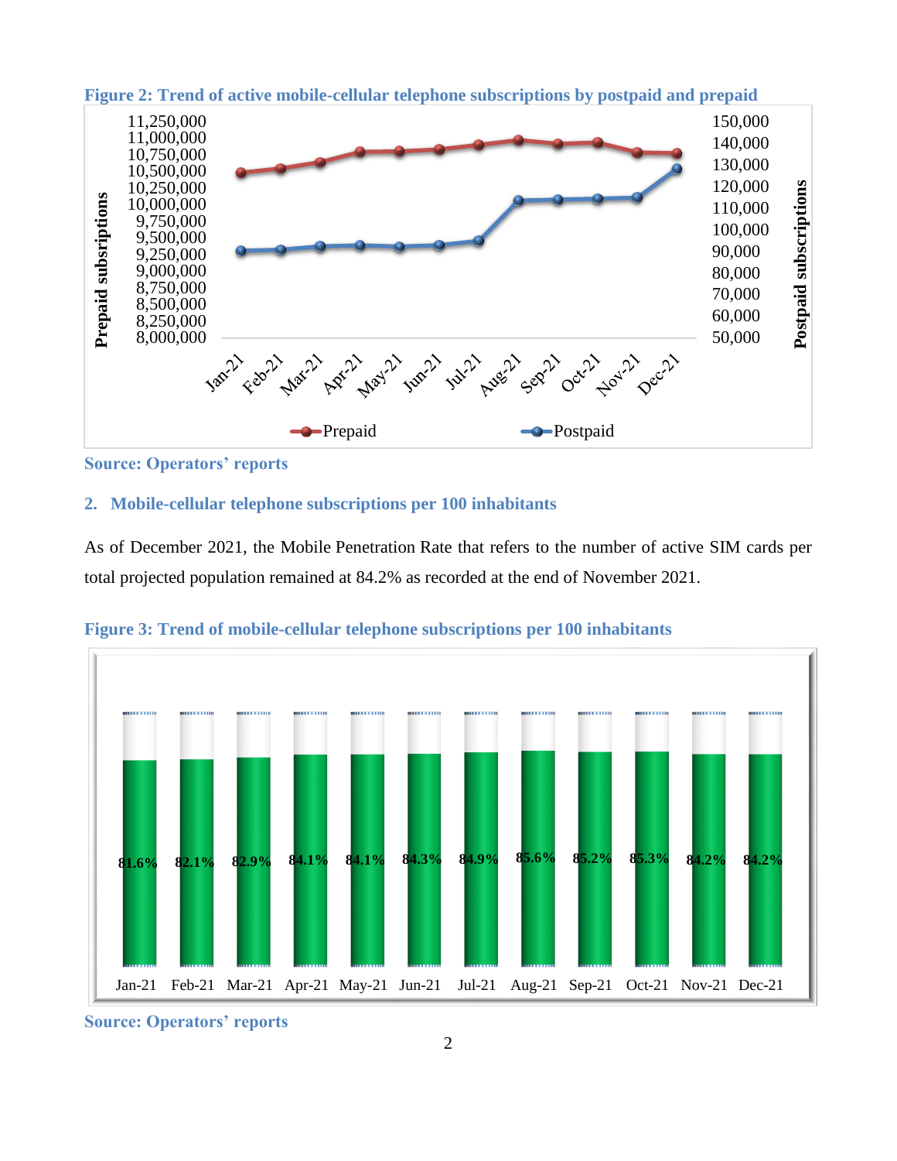

**Figure 2: Trend of active mobile-cellular telephone subscriptions by postpaid and prepaid**

**Source: Operators' reports**

### **2. Mobile-cellular telephone subscriptions per 100 inhabitants**

As of December 2021, the Mobile Penetration Rate that refers to the number of active SIM cards per total projected population remained at 84.2% as recorded at the end of November 2021.



**Figure 3: Trend of mobile-cellular telephone subscriptions per 100 inhabitants**

**Source: Operators' reports**